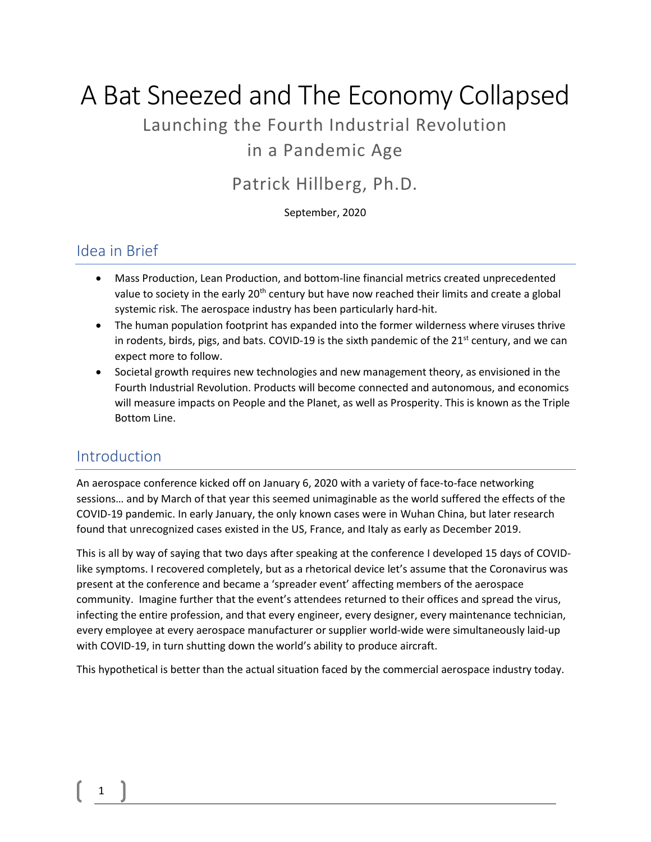# A Bat Sneezed and The Economy Collapsed

## Launching the Fourth Industrial Revolution

## in a Pandemic Age

## Patrick Hillberg, Ph.D.

September, 2020

### Idea in Brief

- Mass Production, Lean Production, and bottom-line financial metrics created unprecedented value to society in the early 20<sup>th</sup> century but have now reached their limits and create a global systemic risk. The aerospace industry has been particularly hard-hit.
- The human population footprint has expanded into the former wilderness where viruses thrive in rodents, birds, pigs, and bats. COVID-19 is the sixth pandemic of the  $21<sup>st</sup>$  century, and we can expect more to follow.
- Societal growth requires new technologies and new management theory, as envisioned in the Fourth Industrial Revolution. Products will become connected and autonomous, and economics will measure impacts on People and the Planet, as well as Prosperity. This is known as the Triple Bottom Line.

### Introduction

An aerospace conference kicked off on January 6, 2020 with a variety of face-to-face networking sessions… and by March of that year this seemed unimaginable as the world suffered the effects of the COVID-19 pandemic. In early January, the only known cases were in Wuhan China, but later research found that unrecognized cases existed in the US, France, and Italy as early as December 2019.

This is all by way of saying that two days after speaking at the conference I developed 15 days of COVIDlike symptoms. I recovered completely, but as a rhetorical device let's assume that the Coronavirus was present at the conference and became a 'spreader event' affecting members of the aerospace community. Imagine further that the event's attendees returned to their offices and spread the virus, infecting the entire profession, and that every engineer, every designer, every maintenance technician, every employee at every aerospace manufacturer or supplier world-wide were simultaneously laid-up with COVID-19, in turn shutting down the world's ability to produce aircraft.

This hypothetical is better than the actual situation faced by the commercial aerospace industry today.

## 1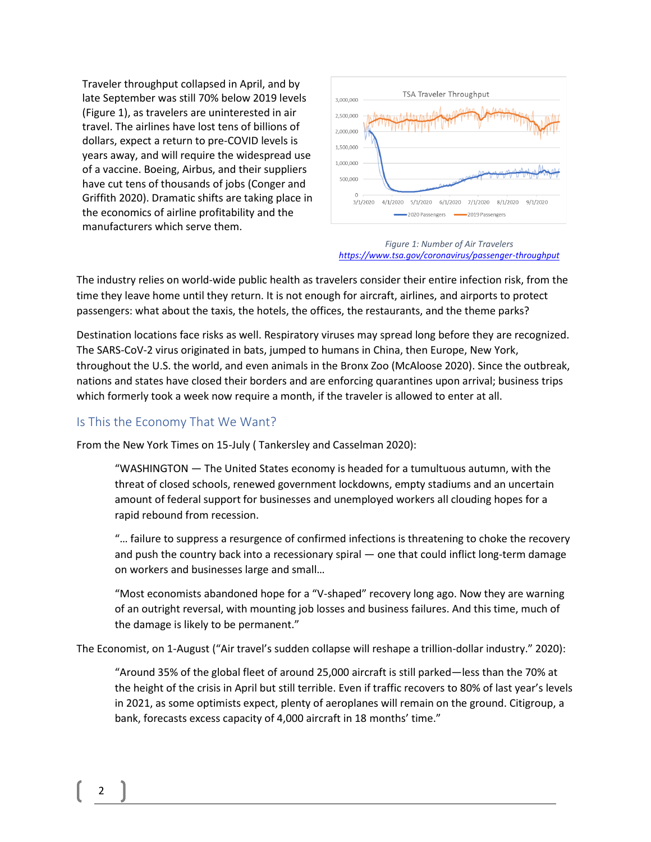Traveler throughput collapsed in April, and by late September was still 70% below 2019 levels [\(Figure 1\)](#page-1-0), as travelers are uninterested in air travel. The airlines have lost tens of billions of dollars, expect a return to pre-COVID levels is years away, and will require the widespread use of a vaccine. Boeing, Airbus, and their suppliers have cut tens of thousands of jobs (Conger and Griffith 2020). Dramatic shifts are taking place in the economics of airline profitability and the manufacturers which serve them.



#### <span id="page-1-0"></span>*Figure 1: Number of Air Travelers <https://www.tsa.gov/coronavirus/passenger-throughput>*

The industry relies on world-wide public health as travelers consider their entire infection risk, from the time they leave home until they return. It is not enough for aircraft, airlines, and airports to protect passengers: what about the taxis, the hotels, the offices, the restaurants, and the theme parks?

Destination locations face risks as well. Respiratory viruses may spread long before they are recognized. The SARS-CoV-2 virus originated in bats, jumped to humans in China, then Europe, New York, throughout the U.S. the world, and even animals in the Bronx Zoo (McAloose 2020). Since the outbreak, nations and states have closed their borders and are enforcing quarantines upon arrival; business trips which formerly took a week now require a month, if the traveler is allowed to enter at all.

#### Is This the Economy That We Want?

From the New York Times on 15-July ( Tankersley and Casselman 2020):

"WASHINGTON — The United States economy is headed for a tumultuous autumn, with the threat of closed schools, renewed government lockdowns, empty stadiums and an uncertain amount of federal support for businesses and unemployed workers all clouding hopes for a rapid rebound from recession.

"… failure to suppress a resurgence of confirmed infections is threatening to choke the recovery and push the country back into a recessionary spiral — one that could inflict long-term damage on workers and businesses large and small…

"Most economists abandoned hope for a "V-shaped" recovery long ago. Now they are warning of an outright reversal, with mounting job losses and business failures. And this time, much of the damage is likely to be permanent."

The Economist, on 1-August ("Air travel's sudden collapse will reshape a trillion-dollar industry." 2020):

"Around 35% of the global fleet of around 25,000 aircraft is still parked—less than the 70% at the height of the crisis in April but still terrible. Even if traffic recovers to 80% of last year's levels in 2021, as some optimists expect, plenty of aeroplanes will remain on the ground. Citigroup, a bank, forecasts excess capacity of 4,000 aircraft in 18 months' time."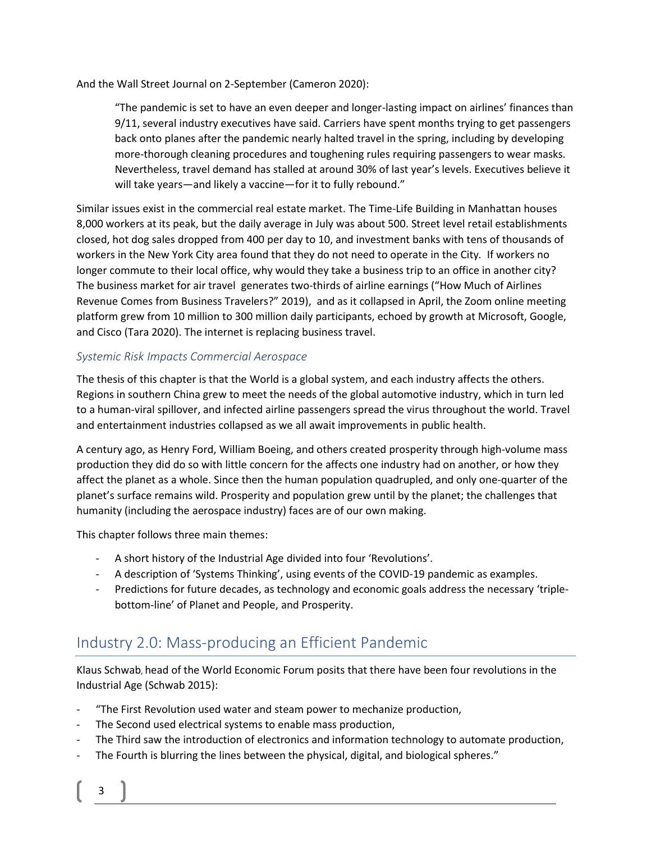And the Wall Street Journal on 2-September (Cameron 2020):

"The pandemic is set to have an even deeper and longer-lasting impact on airlines' finances than 9/11, several industry executives have said. Carriers have spent months trying to get passengers back onto planes after the pandemic nearly halted travel in the spring, including by developing more-thorough cleaning procedures and toughening rules requiring passengers to wear masks. Nevertheless, travel demand has stalled at around 30% of last year's levels. Executives believe it will take years—and likely a vaccine—for it to fully rebound."

Similar issues exist in the commercial real estate market. The Time-Life Building in Manhattan houses 8,000 workers at its peak, but the daily average in July was about 500. Street level retail establishments closed, hot dog sales dropped from 400 per day to 10, and investment banks with tens of thousands of workers in the New York City area found that they do not need to operate in the City*.* If workers no longer commute to their local office, why would they take a business trip to an office in another city? The business market for air travel generates two-thirds of airline earnings ("How Much of Airlines Revenue Comes from Business Travelers?" 2019), and as it collapsed in April, the Zoom online meeting platform grew from 10 million to 300 million daily participants, echoed by growth at Microsoft, Google, and Cisco (Tara 2020). The internet is replacing business travel.

#### *Systemic Risk Impacts Commercial Aerospace*

The thesis of this chapter is that the World is a global system, and each industry affects the others. Regions in southern China grew to meet the needs of the global automotive industry, which in turn led to a human-viral spillover, and infected airline passengers spread the virus throughout the world. Travel and entertainment industries collapsed as we all await improvements in public health.

A century ago, as Henry Ford, William Boeing, and others created prosperity through high-volume mass production they did do so with little concern for the affects one industry had on another, or how they affect the planet as a whole. Since then the human population quadrupled, and only one-quarter of the planet's surface remains wild. Prosperity and population grew until by the planet; the challenges that humanity (including the aerospace industry) faces are of our own making.

This chapter follows three main themes:

- A short history of the Industrial Age divided into four 'Revolutions'.
- A description of 'Systems Thinking', using events of the COVID-19 pandemic as examples.
- Predictions for future decades, as technology and economic goals address the necessary 'triplebottom-line' of Planet and People, and Prosperity.

## Industry 2.0: Mass-producing an Efficient Pandemic

Klaus Schwab, head of the World Economic Forum posits that there have been four revolutions in the Industrial Age (Schwab 2015):

- "The First Revolution used water and steam power to mechanize production,
- The Second used electrical systems to enable mass production,
- The Third saw the introduction of electronics and information technology to automate production,
- The Fourth is blurring the lines between the physical, digital, and biological spheres."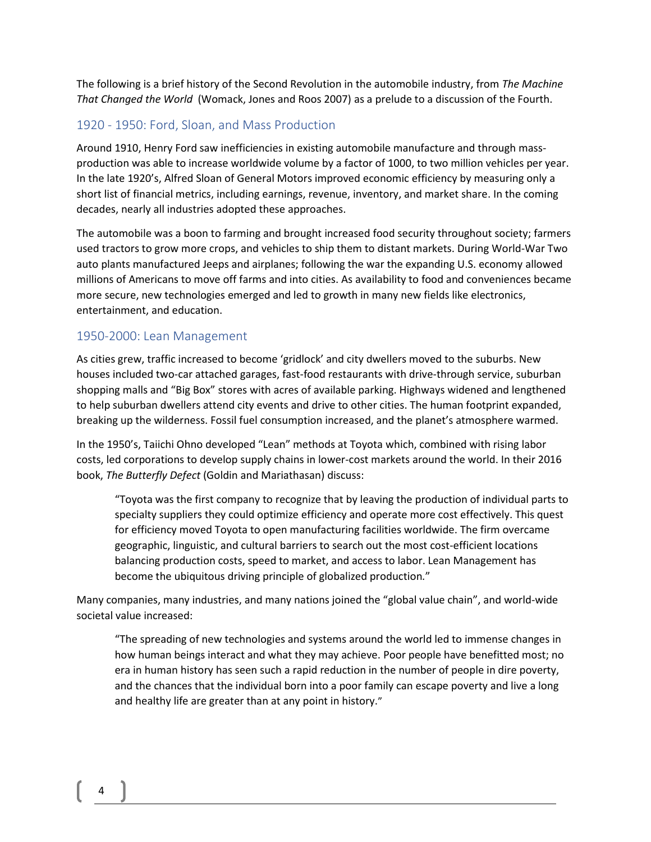The following is a brief history of the Second Revolution in the automobile industry, from *The Machine That Changed the World* (Womack, Jones and Roos 2007) as a prelude to a discussion of the Fourth.

#### 1920 - 1950: Ford, Sloan, and Mass Production

Around 1910, Henry Ford saw inefficiencies in existing automobile manufacture and through massproduction was able to increase worldwide volume by a factor of 1000, to two million vehicles per year. In the late 1920's, Alfred Sloan of General Motors improved economic efficiency by measuring only a short list of financial metrics, including earnings, revenue, inventory, and market share. In the coming decades, nearly all industries adopted these approaches.

The automobile was a boon to farming and brought increased food security throughout society; farmers used tractors to grow more crops, and vehicles to ship them to distant markets. During World-War Two auto plants manufactured Jeeps and airplanes; following the war the expanding U.S. economy allowed millions of Americans to move off farms and into cities. As availability to food and conveniences became more secure, new technologies emerged and led to growth in many new fields like electronics, entertainment, and education.

#### 1950-2000: Lean Management

As cities grew, traffic increased to become 'gridlock' and city dwellers moved to the suburbs. New houses included two-car attached garages, fast-food restaurants with drive-through service, suburban shopping malls and "Big Box" stores with acres of available parking. Highways widened and lengthened to help suburban dwellers attend city events and drive to other cities. The human footprint expanded, breaking up the wilderness. Fossil fuel consumption increased, and the planet's atmosphere warmed.

In the 1950's, Taiichi Ohno developed "Lean" methods at Toyota which, combined with rising labor costs, led corporations to develop supply chains in lower-cost markets around the world. In their 2016 book, *The Butterfly Defect* (Goldin and Mariathasan) discuss:

"Toyota was the first company to recognize that by leaving the production of individual parts to specialty suppliers they could optimize efficiency and operate more cost effectively. This quest for efficiency moved Toyota to open manufacturing facilities worldwide. The firm overcame geographic, linguistic, and cultural barriers to search out the most cost-efficient locations balancing production costs, speed to market, and access to labor. Lean Management has become the ubiquitous driving principle of globalized production*.*"

Many companies, many industries, and many nations joined the "global value chain", and world-wide societal value increased:

"The spreading of new technologies and systems around the world led to immense changes in how human beings interact and what they may achieve. Poor people have benefitted most; no era in human history has seen such a rapid reduction in the number of people in dire poverty, and the chances that the individual born into a poor family can escape poverty and live a long and healthy life are greater than at any point in history."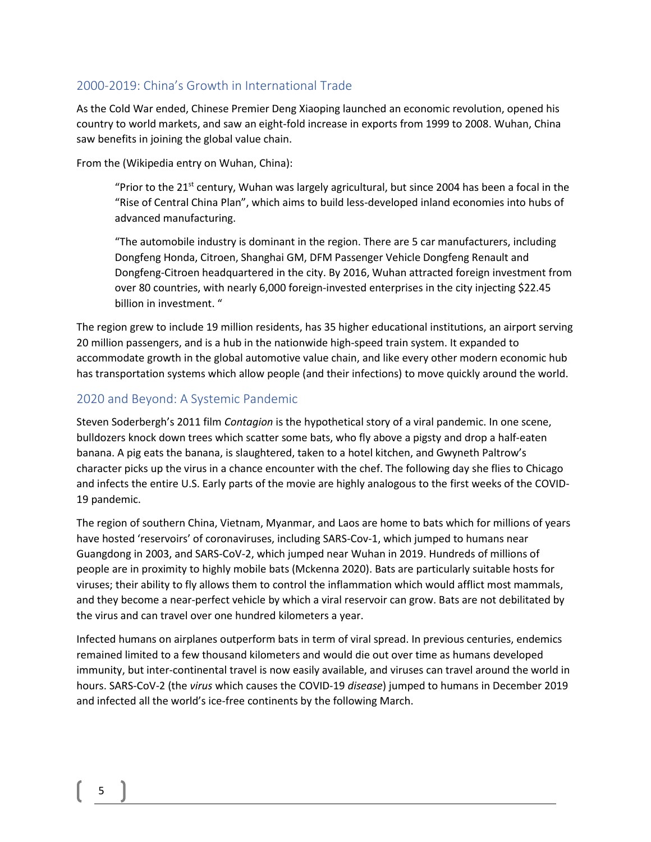#### 2000-2019: China's Growth in International Trade

As the Cold War ended, Chinese Premier Deng Xiaoping launched an economic revolution, opened his country to world markets, and saw an eight-fold increase in exports from 1999 to 2008. Wuhan, China saw benefits in joining the global value chain.

From the (Wikipedia entry on Wuhan, China):

"Prior to the 21<sup>st</sup> century, Wuhan was largely agricultural, but since 2004 has been a focal in the "Rise of Central China Plan", which aims to build less-developed inland economies into hubs of advanced manufacturing.

"The automobile industry is dominant in the region. There are 5 car manufacturers, including Dongfeng Honda, Citroen, Shanghai GM, DFM Passenger Vehicle Dongfeng Renault and Dongfeng-Citroen headquartered in the city. By 2016, Wuhan attracted foreign investment from over 80 countries, with nearly 6,000 foreign-invested enterprises in the city injecting \$22.45 billion in investment. "

The region grew to include 19 million residents, has 35 higher educational institutions, an airport serving 20 million passengers, and is a hub in the nationwide high-speed train system. It expanded to accommodate growth in the global automotive value chain, and like every other modern economic hub has transportation systems which allow people (and their infections) to move quickly around the world.

#### 2020 and Beyond: A Systemic Pandemic

Steven Soderbergh's 2011 film *Contagion* is the hypothetical story of a viral pandemic. In one scene, bulldozers knock down trees which scatter some bats, who fly above a pigsty and drop a half-eaten banana. A pig eats the banana, is slaughtered, taken to a hotel kitchen, and Gwyneth Paltrow's character picks up the virus in a chance encounter with the chef. The following day she flies to Chicago and infects the entire U.S. Early parts of the movie are highly analogous to the first weeks of the COVID-19 pandemic.

The region of southern China, Vietnam, Myanmar, and Laos are home to bats which for millions of years have hosted 'reservoirs' of coronaviruses, including SARS-Cov-1, which jumped to humans near Guangdong in 2003, and SARS-CoV-2, which jumped near Wuhan in 2019. Hundreds of millions of people are in proximity to highly mobile bats (Mckenna 2020). Bats are particularly suitable hosts for viruses; their ability to fly allows them to control the inflammation which would afflict most mammals, and they become a near-perfect vehicle by which a viral reservoir can grow. Bats are not debilitated by the virus and can travel over one hundred kilometers a year.

Infected humans on airplanes outperform bats in term of viral spread. In previous centuries, endemics remained limited to a few thousand kilometers and would die out over time as humans developed immunity, but inter-continental travel is now easily available, and viruses can travel around the world in hours. SARS-CoV-2 (the *virus* which causes the COVID-19 *disease*) jumped to humans in December 2019 and infected all the world's ice-free continents by the following March.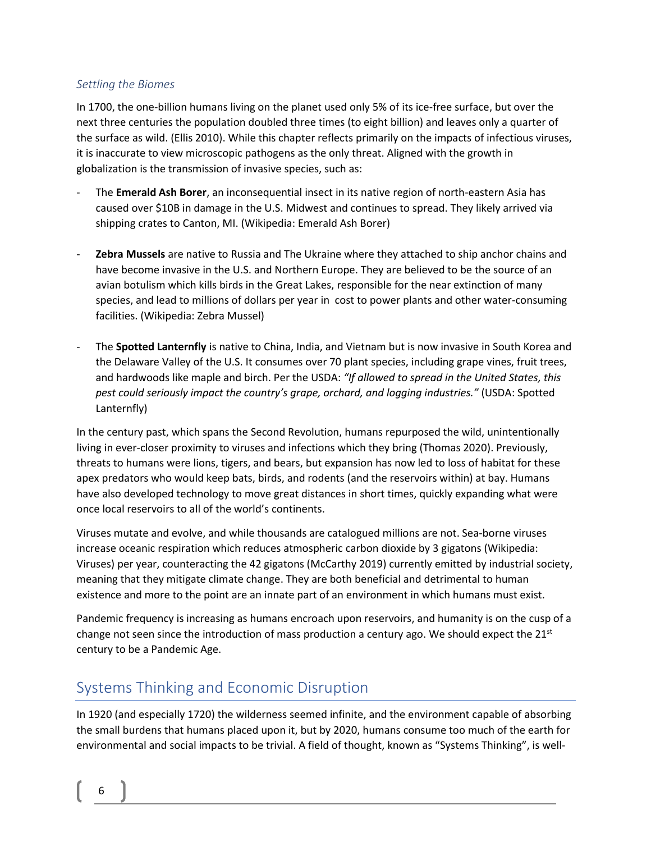#### *Settling the Biomes*

In 1700, the one-billion humans living on the planet used only 5% of its ice-free surface, but over the next three centuries the population doubled three times (to eight billion) and leaves only a quarter of the surface as wild. (Ellis 2010). While this chapter reflects primarily on the impacts of infectious viruses, it is inaccurate to view microscopic pathogens as the only threat. Aligned with the growth in globalization is the transmission of invasive species, such as:

- The **Emerald Ash Borer**, an inconsequential insect in its native region of north-eastern Asia has caused over \$10B in damage in the U.S. Midwest and continues to spread. They likely arrived via shipping crates to Canton, MI. (Wikipedia: Emerald Ash Borer)
- **Zebra Mussels** are native to Russia and The Ukraine where they attached to ship anchor chains and have become invasive in the U.S. and Northern Europe. They are believed to be the source of an avian botulism which kills birds in the Great Lakes, responsible for the near extinction of many species, and lead to millions of dollars per year in cost to power plants and other water-consuming facilities. (Wikipedia: Zebra Mussel)
- The **Spotted Lanternfly** is native to China, India, and Vietnam but is now invasive in South Korea and the Delaware Valley of the U.S. It consumes over 70 plant species, including grape vines, fruit trees, and hardwoods like maple and birch. Per the USDA: *"If allowed to spread in the United States, this pest could seriously impact the country's grape, orchard, and logging industries."* (USDA: Spotted Lanternfly)

In the century past, which spans the Second Revolution, humans repurposed the wild, unintentionally living in ever-closer proximity to viruses and infections which they bring (Thomas 2020). Previously, threats to humans were lions, tigers, and bears, but expansion has now led to loss of habitat for these apex predators who would keep bats, birds, and rodents (and the reservoirs within) at bay. Humans have also developed technology to move great distances in short times, quickly expanding what were once local reservoirs to all of the world's continents.

Viruses mutate and evolve, and while thousands are catalogued millions are not. Sea-borne viruses increase oceanic respiration which reduces atmospheric carbon dioxide by 3 gigatons (Wikipedia: Viruses) per year, counteracting the 42 gigatons (McCarthy 2019) currently emitted by industrial society, meaning that they mitigate climate change. They are both beneficial and detrimental to human existence and more to the point are an innate part of an environment in which humans must exist.

Pandemic frequency is increasing as humans encroach upon reservoirs, and humanity is on the cusp of a change not seen since the introduction of mass production a century ago. We should expect the  $21^{st}$ century to be a Pandemic Age.

## Systems Thinking and Economic Disruption

In 1920 (and especially 1720) the wilderness seemed infinite, and the environment capable of absorbing the small burdens that humans placed upon it, but by 2020, humans consume too much of the earth for environmental and social impacts to be trivial. A field of thought, known as "Systems Thinking", is well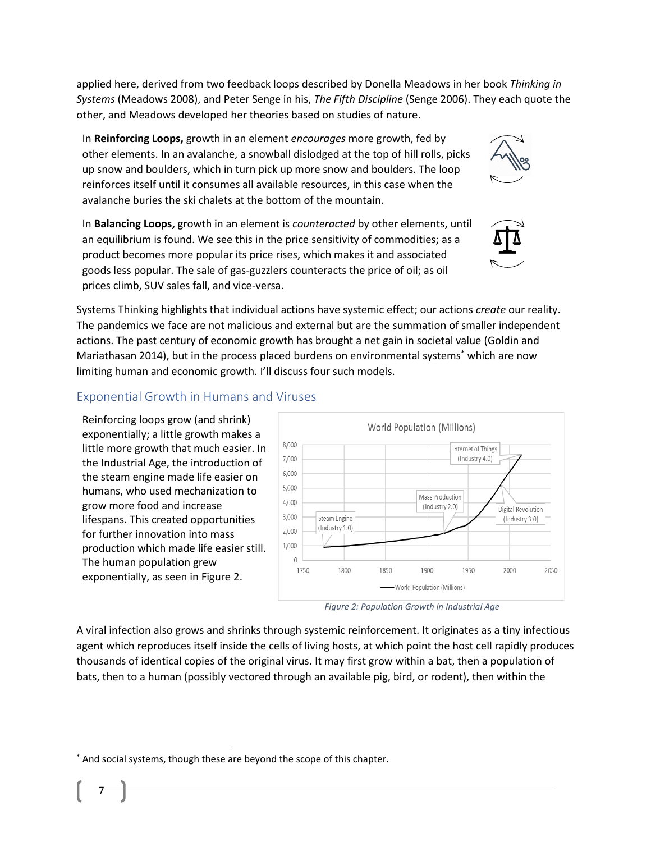applied here, derived from two feedback loops described by Donella Meadows in her book *Thinking in Systems* (Meadows 2008), and Peter Senge in his, *The Fifth Discipline* (Senge 2006). They each quote the other, and Meadows developed her theories based on studies of nature.

In **Reinforcing Loops,** growth in an element *encourages* more growth, fed by other elements. In an avalanche, a snowball dislodged at the top of hill rolls, picks up snow and boulders, which in turn pick up more snow and boulders. The loop reinforces itself until it consumes all available resources, in this case when the avalanche buries the ski chalets at the bottom of the mountain.

In **Balancing Loops,** growth in an element is *counteracted* by other elements, until an equilibrium is found. We see this in the price sensitivity of commodities; as a product becomes more popular its price rises, which makes it and associated goods less popular. The sale of gas-guzzlers counteracts the price of oil; as oil prices climb, SUV sales fall, and vice-versa.

Systems Thinking highlights that individual actions have systemic effect; our actions *create* our reality. The pandemics we face are not malicious and external but are the summation of smaller independent actions. The past century of economic growth has brought a net gain in societal value (Goldin and Mariathasan 2014), but in the process placed burdens on environmental systems\* which are now limiting human and economic growth. I'll discuss four such models.

#### Exponential Growth in Humans and Viruses

Reinforcing loops grow (and shrink) exponentially; a little growth makes a little more growth that much easier. In the Industrial Age, the introduction of the steam engine made life easier on humans, who used mechanization to grow more food and increase lifespans. This created opportunities for further innovation into mass production which made life easier still. The human population grew exponentially, as seen i[n Figure 2.](#page-6-0)



<span id="page-6-0"></span>

A viral infection also grows and shrinks through systemic reinforcement. It originates as a tiny infectious agent which reproduces itself inside the cells of living hosts, at which point the host cell rapidly produces thousands of identical copies of the original virus. It may first grow within a bat, then a population of bats, then to a human (possibly vectored through an available pig, bird, or rodent), then within the





And social systems, though these are beyond the scope of this chapter.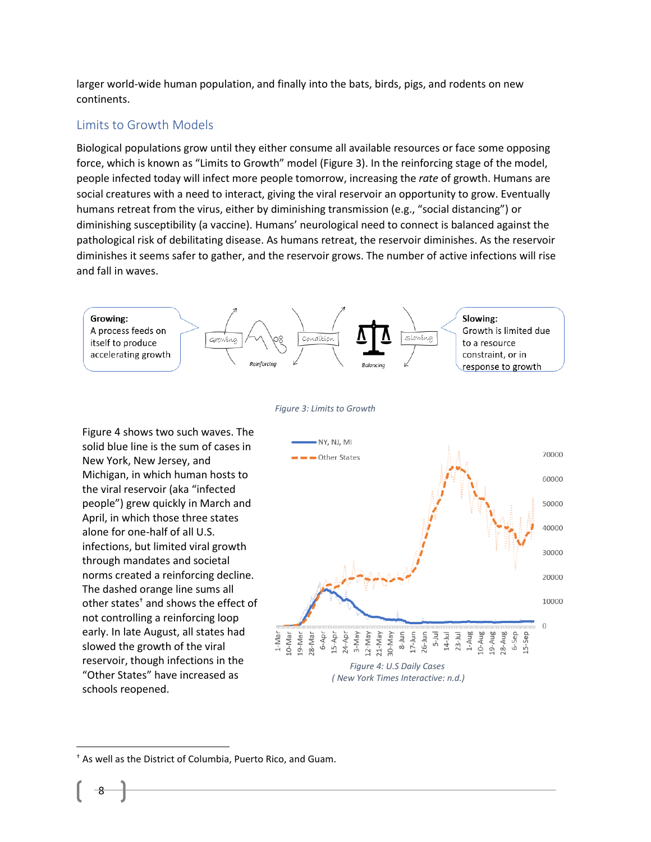larger world-wide human population, and finally into the bats, birds, pigs, and rodents on new continents.

#### Limits to Growth Models

Biological populations grow until they either consume all available resources or face some opposing force, which is known as "Limits to Growth" model [\(Figure 3\)](#page-7-0). In the reinforcing stage of the model, people infected today will infect more people tomorrow, increasing the *rate* of growth. Humans are social creatures with a need to interact, giving the viral reservoir an opportunity to grow. Eventually humans retreat from the virus, either by diminishing transmission (e.g., "social distancing") or diminishing susceptibility (a vaccine). Humans' neurological need to connect is balanced against the pathological risk of debilitating disease. As humans retreat, the reservoir diminishes. As the reservoir diminishes it seems safer to gather, and the reservoir grows. The number of active infections will rise and fall in waves.



<span id="page-7-0"></span>[Figure 4](#page-7-1) shows two such waves. The solid blue line is the sum of cases in New York, New Jersey, and Michigan, in which human hosts to the viral reservoir (aka "infected people") grew quickly in March and April, in which those three states alone for one-half of all U.S. infections, but limited viral growth through mandates and societal norms created a reinforcing decline. The dashed orange line sums all other states† and shows the effect of not controlling a reinforcing loop early. In late August, all states had slowed the growth of the viral reservoir, though infections in the "Other States" have increased as schools reopened.



<span id="page-7-1"></span><sup>†</sup> As well as the District of Columbia, Puerto Rico, and Guam.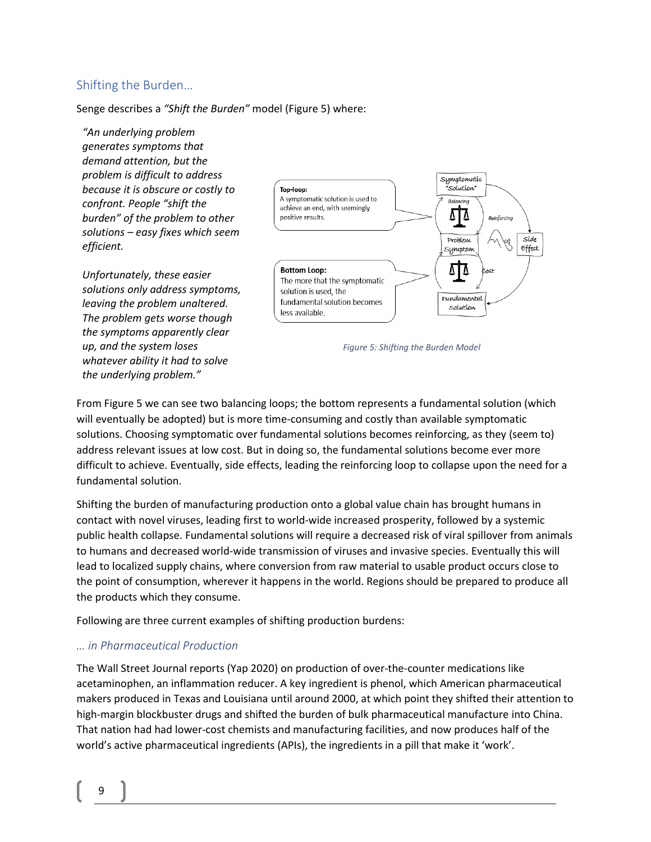#### Shifting the Burden…

Senge describes a *"Shift the Burden"* model [\(Figure 5\)](#page-8-0) where:

*"An underlying problem generates symptoms that demand attention, but the problem is difficult to address because it is obscure or costly to confront. People "shift the burden" of the problem to other solutions – easy fixes which seem efficient.*

*Unfortunately, these easier solutions only address symptoms, leaving the problem unaltered. The problem gets worse though the symptoms apparently clear up, and the system loses whatever ability it had to solve the underlying problem."*



<span id="page-8-0"></span>*Figure 5: Shifting the Burden Model*

From [Figure 5](#page-8-0) we can see two balancing loops; the bottom represents a fundamental solution (which will eventually be adopted) but is more time-consuming and costly than available symptomatic solutions. Choosing symptomatic over fundamental solutions becomes reinforcing, as they (seem to) address relevant issues at low cost. But in doing so, the fundamental solutions become ever more difficult to achieve. Eventually, side effects, leading the reinforcing loop to collapse upon the need for a fundamental solution.

Shifting the burden of manufacturing production onto a global value chain has brought humans in contact with novel viruses, leading first to world-wide increased prosperity, followed by a systemic public health collapse. Fundamental solutions will require a decreased risk of viral spillover from animals to humans and decreased world-wide transmission of viruses and invasive species. Eventually this will lead to localized supply chains, where conversion from raw material to usable product occurs close to the point of consumption, wherever it happens in the world. Regions should be prepared to produce all the products which they consume.

Following are three current examples of shifting production burdens:

#### *… in Pharmaceutical Production*

The Wall Street Journal reports (Yap 2020) on production of over-the-counter medications like acetaminophen, an inflammation reducer. A key ingredient is phenol, which American pharmaceutical makers produced in Texas and Louisiana until around 2000, at which point they shifted their attention to high-margin blockbuster drugs and shifted the burden of bulk pharmaceutical manufacture into China. That nation had had lower-cost chemists and manufacturing facilities, and now produces half of the world's active pharmaceutical ingredients (APIs), the ingredients in a pill that make it 'work'.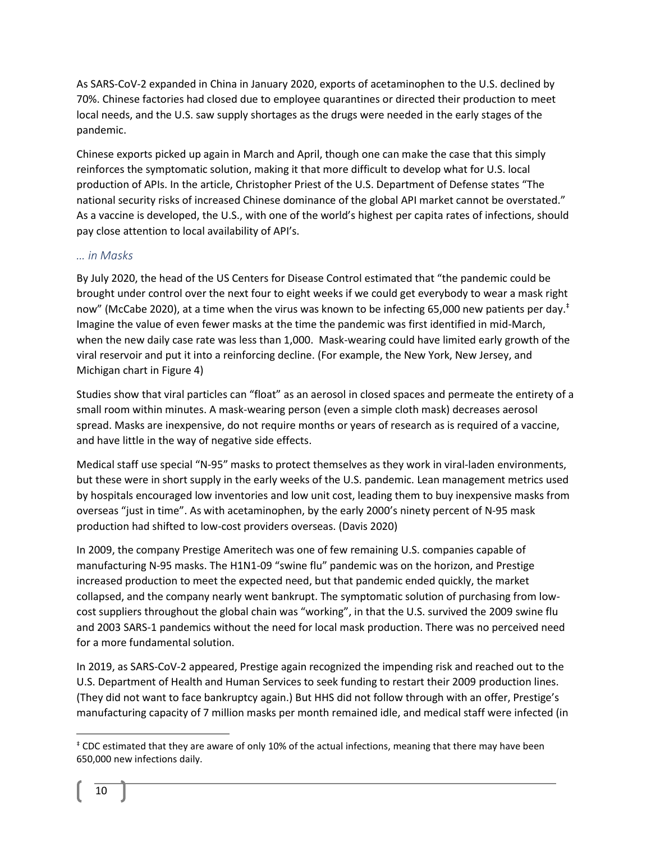As SARS-CoV-2 expanded in China in January 2020, exports of acetaminophen to the U.S. declined by 70%. Chinese factories had closed due to employee quarantines or directed their production to meet local needs, and the U.S. saw supply shortages as the drugs were needed in the early stages of the pandemic.

Chinese exports picked up again in March and April, though one can make the case that this simply reinforces the symptomatic solution, making it that more difficult to develop what for U.S. local production of APIs. In the article, Christopher Priest of the U.S. Department of Defense states "The national security risks of increased Chinese dominance of the global API market cannot be overstated." As a vaccine is developed, the U.S., with one of the world's highest per capita rates of infections, should pay close attention to local availability of API's.

#### *… in Masks*

By July 2020, the head of the US Centers for Disease Control estimated that "the pandemic could be brought under control over the next four to eight weeks if we could get everybody to wear a mask right now" (McCabe 2020), at a time when the virus was known to be infecting 65,000 new patients per day.<sup>‡</sup> Imagine the value of even fewer masks at the time the pandemic was first identified in mid-March, when the new daily case rate was less than 1,000. Mask-wearing could have limited early growth of the viral reservoir and put it into a reinforcing decline. (For example, the New York, New Jersey, and Michigan chart in [Figure 4\)](#page-7-1)

Studies show that viral particles can "float" as an aerosol in closed spaces and permeate the entirety of a small room within minutes. A mask-wearing person (even a simple cloth mask) decreases aerosol spread. Masks are inexpensive, do not require months or years of research as is required of a vaccine, and have little in the way of negative side effects.

Medical staff use special "N-95" masks to protect themselves as they work in viral-laden environments, but these were in short supply in the early weeks of the U.S. pandemic. Lean management metrics used by hospitals encouraged low inventories and low unit cost, leading them to buy inexpensive masks from overseas "just in time". As with acetaminophen, by the early 2000's ninety percent of N-95 mask production had shifted to low-cost providers overseas. (Davis 2020)

In 2009, the company Prestige Ameritech was one of few remaining U.S. companies capable of manufacturing N-95 masks. The H1N1-09 "swine flu" pandemic was on the horizon, and Prestige increased production to meet the expected need, but that pandemic ended quickly, the market collapsed, and the company nearly went bankrupt. The symptomatic solution of purchasing from lowcost suppliers throughout the global chain was "working", in that the U.S. survived the 2009 swine flu and 2003 SARS-1 pandemics without the need for local mask production. There was no perceived need for a more fundamental solution.

In 2019, as SARS-CoV-2 appeared, Prestige again recognized the impending risk and reached out to the U.S. Department of Health and Human Services to seek funding to restart their 2009 production lines. (They did not want to face bankruptcy again.) But HHS did not follow through with an offer, Prestige's manufacturing capacity of 7 million masks per month remained idle, and medical staff were infected (in

<sup>‡</sup> CDC estimated that they are aware of only 10% of the actual infections, meaning that there may have been 650,000 new infections daily.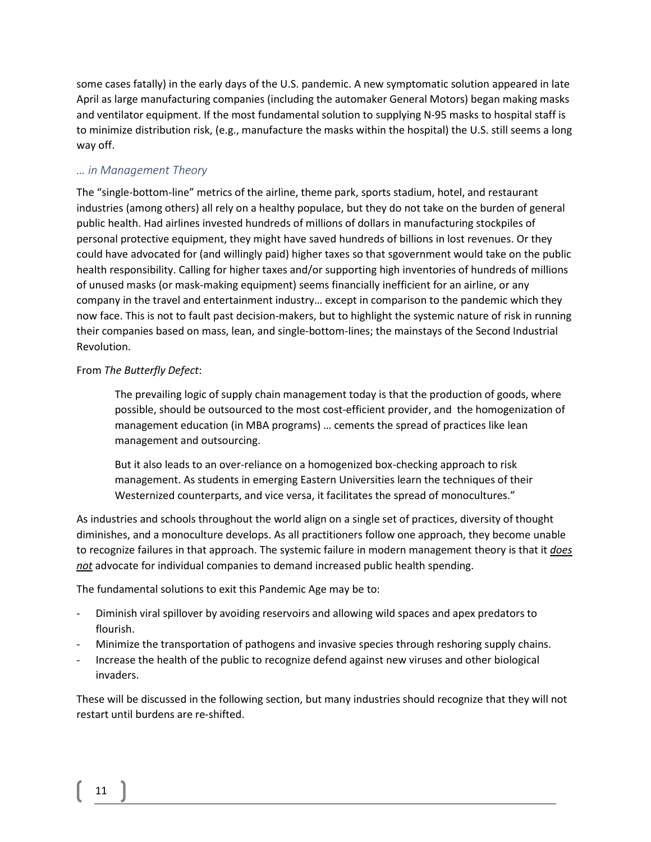some cases fatally) in the early days of the U.S. pandemic. A new symptomatic solution appeared in late April as large manufacturing companies (including the automaker General Motors) began making masks and ventilator equipment. If the most fundamental solution to supplying N-95 masks to hospital staff is to minimize distribution risk, (e.g., manufacture the masks within the hospital) the U.S. still seems a long way off.

#### *… in Management Theory*

The "single-bottom-line" metrics of the airline, theme park, sports stadium, hotel, and restaurant industries (among others) all rely on a healthy populace, but they do not take on the burden of general public health. Had airlines invested hundreds of millions of dollars in manufacturing stockpiles of personal protective equipment, they might have saved hundreds of billions in lost revenues. Or they could have advocated for (and willingly paid) higher taxes so that sgovernment would take on the public health responsibility. Calling for higher taxes and/or supporting high inventories of hundreds of millions of unused masks (or mask-making equipment) seems financially inefficient for an airline, or any company in the travel and entertainment industry… except in comparison to the pandemic which they now face. This is not to fault past decision-makers, but to highlight the systemic nature of risk in running their companies based on mass, lean, and single-bottom-lines; the mainstays of the Second Industrial Revolution.

#### From *The Butterfly Defect*:

The prevailing logic of supply chain management today is that the production of goods, where possible, should be outsourced to the most cost-efficient provider, and the homogenization of management education (in MBA programs) … cements the spread of practices like lean management and outsourcing.

But it also leads to an over-reliance on a homogenized box-checking approach to risk management. As students in emerging Eastern Universities learn the techniques of their Westernized counterparts, and vice versa, it facilitates the spread of monocultures."

As industries and schools throughout the world align on a single set of practices, diversity of thought diminishes, and a monoculture develops. As all practitioners follow one approach, they become unable to recognize failures in that approach. The systemic failure in modern management theory is that it *does not* advocate for individual companies to demand increased public health spending.

The fundamental solutions to exit this Pandemic Age may be to:

- Diminish viral spillover by avoiding reservoirs and allowing wild spaces and apex predators to flourish.
- Minimize the transportation of pathogens and invasive species through reshoring supply chains.
- Increase the health of the public to recognize defend against new viruses and other biological invaders.

These will be discussed in the following section, but many industries should recognize that they will not restart until burdens are re-shifted.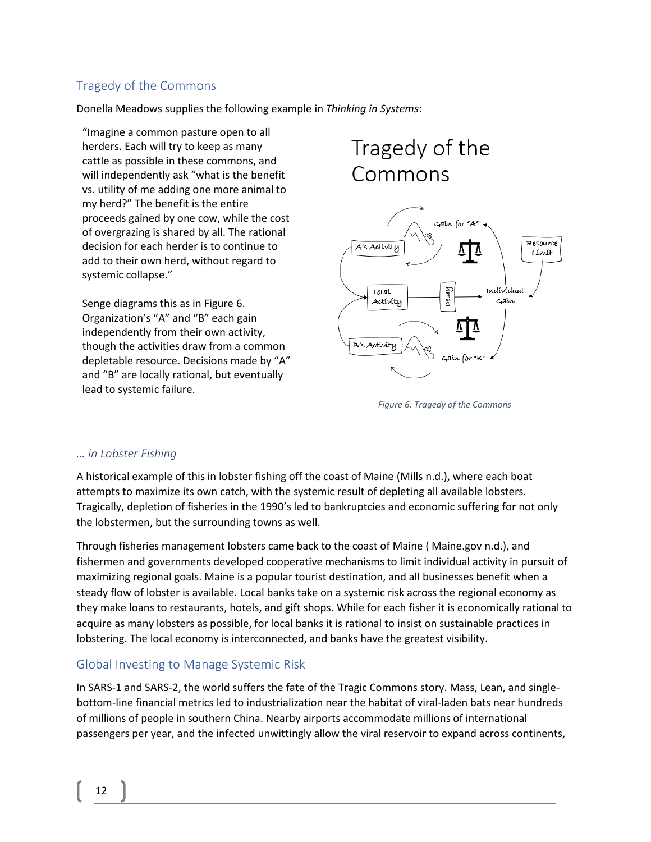#### Tragedy of the Commons

Donella Meadows supplies the following example in *Thinking in Systems*:

"Imagine a common pasture open to all herders. Each will try to keep as many cattle as possible in these commons, and will independently ask "what is the benefit vs. utility of me adding one more animal to my herd?" The benefit is the entire proceeds gained by one cow, while the cost of overgrazing is shared by all. The rational decision for each herder is to continue to add to their own herd, without regard to systemic collapse."

Senge diagrams this as in [Figure 6.](#page-11-0) Organization's "A" and "B" each gain independently from their own activity, though the activities draw from a common depletable resource. Decisions made by "A" and "B" are locally rational, but eventually lead to systemic failure.

## Tragedy of the Commons



<span id="page-11-0"></span>*Figure 6: Tragedy of the Commons*

#### *… in Lobster Fishing*

A historical example of this in lobster fishing off the coast of Maine (Mills n.d.), where each boat attempts to maximize its own catch, with the systemic result of depleting all available lobsters. Tragically, depletion of fisheries in the 1990's led to bankruptcies and economic suffering for not only the lobstermen, but the surrounding towns as well.

Through fisheries management lobsters came back to the coast of Maine ( Maine.gov n.d.), and fishermen and governments developed cooperative mechanisms to limit individual activity in pursuit of maximizing regional goals. Maine is a popular tourist destination, and all businesses benefit when a steady flow of lobster is available. Local banks take on a systemic risk across the regional economy as they make loans to restaurants, hotels, and gift shops. While for each fisher it is economically rational to acquire as many lobsters as possible, for local banks it is rational to insist on sustainable practices in lobstering. The local economy is interconnected, and banks have the greatest visibility.

#### Global Investing to Manage Systemic Risk

In SARS-1 and SARS-2, the world suffers the fate of the Tragic Commons story. Mass, Lean, and singlebottom-line financial metrics led to industrialization near the habitat of viral-laden bats near hundreds of millions of people in southern China. Nearby airports accommodate millions of international passengers per year, and the infected unwittingly allow the viral reservoir to expand across continents,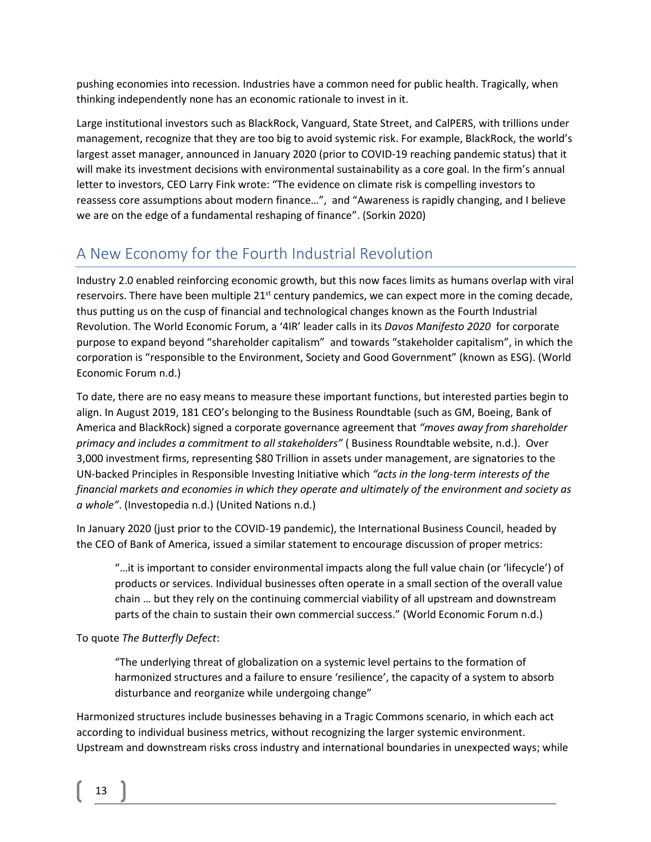pushing economies into recession. Industries have a common need for public health. Tragically, when thinking independently none has an economic rationale to invest in it.

Large institutional investors such as BlackRock, Vanguard, State Street, and CalPERS, with trillions under management, recognize that they are too big to avoid systemic risk. For example, BlackRock, the world's largest asset manager, announced in January 2020 (prior to COVID-19 reaching pandemic status) that it will make its investment decisions with environmental sustainability as a core goal. In the firm's annual letter to investors, CEO Larry Fink wrote: "The evidence on climate risk is compelling investors to reassess core assumptions about modern finance…", and "Awareness is rapidly changing, and I believe we are on the edge of a fundamental reshaping of finance". (Sorkin 2020)

## A New Economy for the Fourth Industrial Revolution

Industry 2.0 enabled reinforcing economic growth, but this now faces limits as humans overlap with viral reservoirs. There have been multiple  $21<sup>st</sup>$  century pandemics, we can expect more in the coming decade, thus putting us on the cusp of financial and technological changes known as the Fourth Industrial Revolution. The World Economic Forum, a '4IR' leader calls in its *Davos Manifesto 2020* for corporate purpose to expand beyond "shareholder capitalism" and towards "stakeholder capitalism", in which the corporation is "responsible to the Environment, Society and Good Government" (known as ESG). (World Economic Forum n.d.)

To date, there are no easy means to measure these important functions, but interested parties begin to align. In August 2019, 181 CEO's belonging to the Business Roundtable (such as GM, Boeing, Bank of America and BlackRock) signed a corporate governance agreement that *"moves away from shareholder primacy and includes a commitment to all stakeholders"* ( Business Roundtable website, n.d.). Over 3,000 investment firms, representing \$80 Trillion in assets under management, are signatories to the UN-backed Principles in Responsible Investing Initiative which *"acts in the long-term interests of the financial markets and economies in which they operate and ultimately of the environment and society as a whole"*. (Investopedia n.d.) (United Nations n.d.)

In January 2020 (just prior to the COVID-19 pandemic), the International Business Council, headed by the CEO of Bank of America, issued a similar statement to encourage discussion of proper metrics:

"…it is important to consider environmental impacts along the full value chain (or 'lifecycle') of products or services. Individual businesses often operate in a small section of the overall value chain … but they rely on the continuing commercial viability of all upstream and downstream parts of the chain to sustain their own commercial success." (World Economic Forum n.d.)

#### To quote *The Butterfly Defect*:

"The underlying threat of globalization on a systemic level pertains to the formation of harmonized structures and a failure to ensure 'resilience', the capacity of a system to absorb disturbance and reorganize while undergoing change"

Harmonized structures include businesses behaving in a Tragic Commons scenario, in which each act according to individual business metrics, without recognizing the larger systemic environment. Upstream and downstream risks cross industry and international boundaries in unexpected ways; while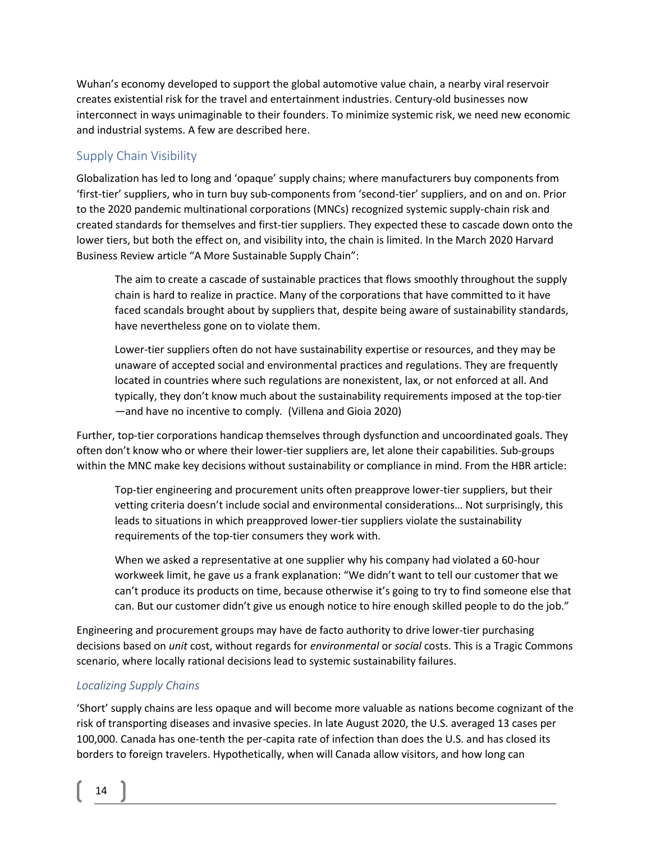Wuhan's economy developed to support the global automotive value chain, a nearby viral reservoir creates existential risk for the travel and entertainment industries. Century-old businesses now interconnect in ways unimaginable to their founders. To minimize systemic risk, we need new economic and industrial systems. A few are described here.

#### Supply Chain Visibility

Globalization has led to long and 'opaque' supply chains; where manufacturers buy components from 'first-tier' suppliers, who in turn buy sub-components from 'second-tier' suppliers, and on and on. Prior to the 2020 pandemic multinational corporations (MNCs) recognized systemic supply-chain risk and created standards for themselves and first-tier suppliers. They expected these to cascade down onto the lower tiers, but both the effect on, and visibility into, the chain is limited. In the March 2020 Harvard Business Review article "A More Sustainable Supply Chain":

The aim to create a cascade of sustainable practices that flows smoothly throughout the supply chain is hard to realize in practice. Many of the corporations that have committed to it have faced scandals brought about by suppliers that, despite being aware of sustainability standards, have nevertheless gone on to violate them.

Lower-tier suppliers often do not have sustainability expertise or resources, and they may be unaware of accepted social and environmental practices and regulations. They are frequently located in countries where such regulations are nonexistent, lax, or not enforced at all. And typically, they don't know much about the sustainability requirements imposed at the top-tier —and have no incentive to comply*.* (Villena and Gioia 2020)

Further, top-tier corporations handicap themselves through dysfunction and uncoordinated goals. They often don't know who or where their lower-tier suppliers are, let alone their capabilities. Sub-groups within the MNC make key decisions without sustainability or compliance in mind. From the HBR article:

Top-tier engineering and procurement units often preapprove lower-tier suppliers, but their vetting criteria doesn't include social and environmental considerations… Not surprisingly, this leads to situations in which preapproved lower-tier suppliers violate the sustainability requirements of the top-tier consumers they work with.

When we asked a representative at one supplier why his company had violated a 60-hour workweek limit, he gave us a frank explanation: "We didn't want to tell our customer that we can't produce its products on time, because otherwise it's going to try to find someone else that can. But our customer didn't give us enough notice to hire enough skilled people to do the job."

Engineering and procurement groups may have de facto authority to drive lower-tier purchasing decisions based on *unit* cost, without regards for *environmental* or *social* costs. This is a Tragic Commons scenario, where locally rational decisions lead to systemic sustainability failures.

#### *Localizing Supply Chains*

'Short' supply chains are less opaque and will become more valuable as nations become cognizant of the risk of transporting diseases and invasive species. In late August 2020, the U.S. averaged 13 cases per 100,000. Canada has one-tenth the per-capita rate of infection than does the U.S. and has closed its borders to foreign travelers. Hypothetically, when will Canada allow visitors, and how long can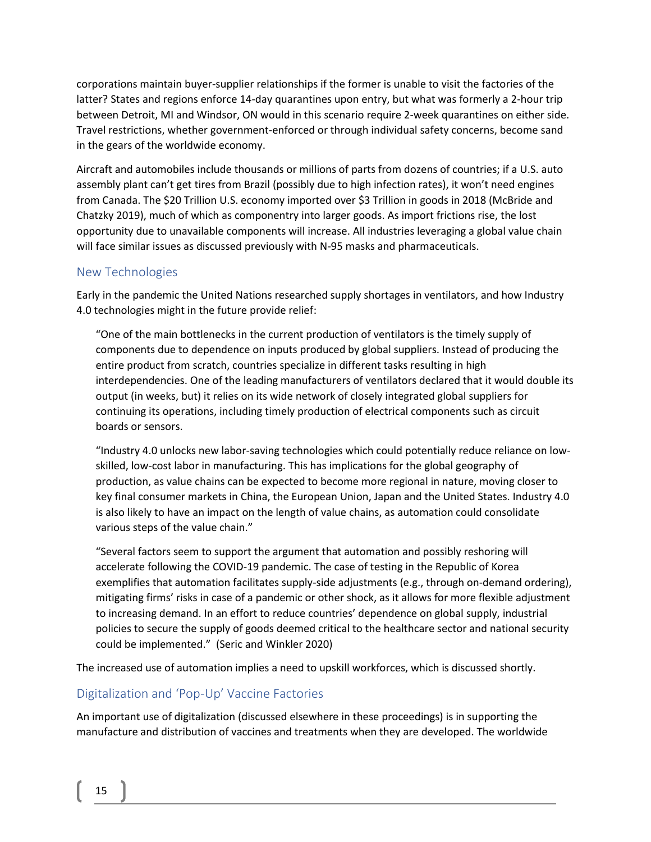corporations maintain buyer-supplier relationships if the former is unable to visit the factories of the latter? States and regions enforce 14-day quarantines upon entry, but what was formerly a 2-hour trip between Detroit, MI and Windsor, ON would in this scenario require 2-week quarantines on either side. Travel restrictions, whether government-enforced or through individual safety concerns, become sand in the gears of the worldwide economy.

Aircraft and automobiles include thousands or millions of parts from dozens of countries; if a U.S. auto assembly plant can't get tires from Brazil (possibly due to high infection rates), it won't need engines from Canada. The \$20 Trillion U.S. economy imported over \$3 Trillion in goods in 2018 (McBride and Chatzky 2019), much of which as componentry into larger goods. As import frictions rise, the lost opportunity due to unavailable components will increase. All industries leveraging a global value chain will face similar issues as discussed previously with N-95 masks and pharmaceuticals.

#### New Technologies

Early in the pandemic the United Nations researched supply shortages in ventilators, and how Industry 4.0 technologies might in the future provide relief:

"One of the main bottlenecks in the current production of ventilators is the timely supply of components due to dependence on inputs produced by global suppliers. Instead of producing the entire product from scratch, countries specialize in different tasks resulting in high interdependencies. One of the leading manufacturers of ventilators declared that it would double its output (in weeks, but) it relies on its wide network of closely integrated global suppliers for continuing its operations, including timely production of electrical components such as circuit boards or sensors.

"Industry 4.0 unlocks new labor-saving technologies which could potentially reduce reliance on lowskilled, low-cost labor in manufacturing. This has implications for the global geography of production, as value chains can be expected to become more regional in nature, moving closer to key final consumer markets in China, the European Union, Japan and the United States. Industry 4.0 is also likely to have an impact on the length of value chains, as automation could consolidate various steps of the value chain."

"Several factors seem to support the argument that automation and possibly reshoring will accelerate following the COVID-19 pandemic. The case of testing in the Republic of Korea exemplifies that automation facilitates supply-side adjustments (e.g., through on-demand ordering), mitigating firms' risks in case of a pandemic or other shock, as it allows for more flexible adjustment to increasing demand. In an effort to reduce countries' dependence on global supply, industrial policies to secure the supply of goods deemed critical to the healthcare sector and national security could be implemented." (Seric and Winkler 2020)

The increased use of automation implies a need to upskill workforces, which is discussed shortly.

#### Digitalization and 'Pop-Up' Vaccine Factories

An important use of digitalization (discussed elsewhere in these proceedings) is in supporting the manufacture and distribution of vaccines and treatments when they are developed. The worldwide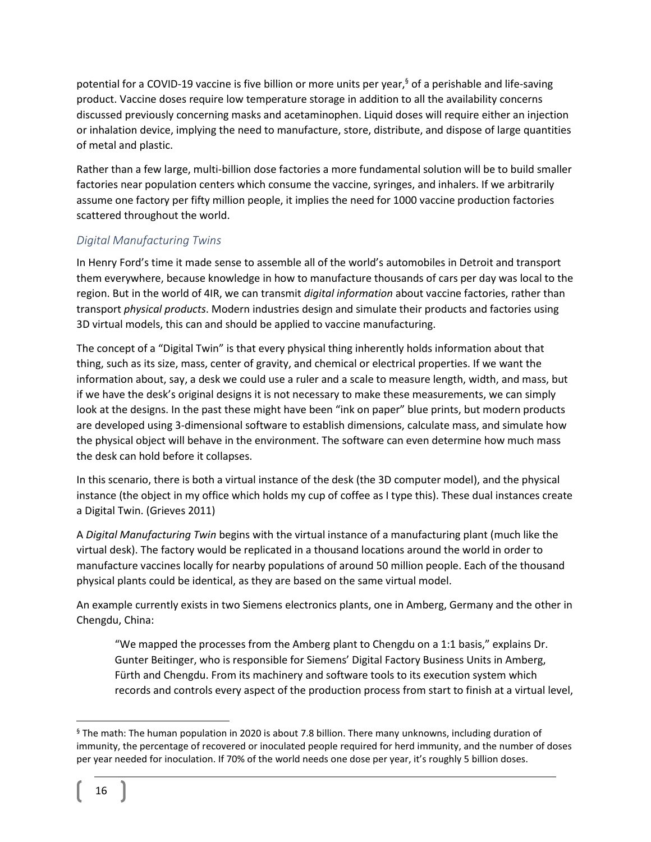potential for a COVID-19 vaccine is five billion or more units per year,<sup>§</sup> of a perishable and life-saving product. Vaccine doses require low temperature storage in addition to all the availability concerns discussed previously concerning masks and acetaminophen. Liquid doses will require either an injection or inhalation device, implying the need to manufacture, store, distribute, and dispose of large quantities of metal and plastic.

Rather than a few large, multi-billion dose factories a more fundamental solution will be to build smaller factories near population centers which consume the vaccine, syringes, and inhalers. If we arbitrarily assume one factory per fifty million people, it implies the need for 1000 vaccine production factories scattered throughout the world.

#### *Digital Manufacturing Twins*

In Henry Ford's time it made sense to assemble all of the world's automobiles in Detroit and transport them everywhere, because knowledge in how to manufacture thousands of cars per day was local to the region. But in the world of 4IR, we can transmit *digital information* about vaccine factories, rather than transport *physical products*. Modern industries design and simulate their products and factories using 3D virtual models, this can and should be applied to vaccine manufacturing.

The concept of a "Digital Twin" is that every physical thing inherently holds information about that thing, such as its size, mass, center of gravity, and chemical or electrical properties. If we want the information about, say, a desk we could use a ruler and a scale to measure length, width, and mass, but if we have the desk's original designs it is not necessary to make these measurements, we can simply look at the designs. In the past these might have been "ink on paper" blue prints, but modern products are developed using 3-dimensional software to establish dimensions, calculate mass, and simulate how the physical object will behave in the environment. The software can even determine how much mass the desk can hold before it collapses.

In this scenario, there is both a virtual instance of the desk (the 3D computer model), and the physical instance (the object in my office which holds my cup of coffee as I type this). These dual instances create a Digital Twin. (Grieves 2011)

A *Digital Manufacturing Twin* begins with the virtual instance of a manufacturing plant (much like the virtual desk). The factory would be replicated in a thousand locations around the world in order to manufacture vaccines locally for nearby populations of around 50 million people. Each of the thousand physical plants could be identical, as they are based on the same virtual model.

An example currently exists in two Siemens electronics plants, one in Amberg, Germany and the other in Chengdu, China:

"We mapped the processes from the Amberg plant to Chengdu on a 1:1 basis," explains Dr. Gunter Beitinger, who is responsible for Siemens' Digital Factory Business Units in Amberg, Fürth and Chengdu. From its machinery and software tools to its execution system which records and controls every aspect of the production process from start to finish at a virtual level,

<sup>§</sup> The math: The human population in 2020 is about 7.8 billion. There many unknowns, including duration of immunity, the percentage of recovered or inoculated people required for herd immunity, and the number of doses per year needed for inoculation. If 70% of the world needs one dose per year, it's roughly 5 billion doses.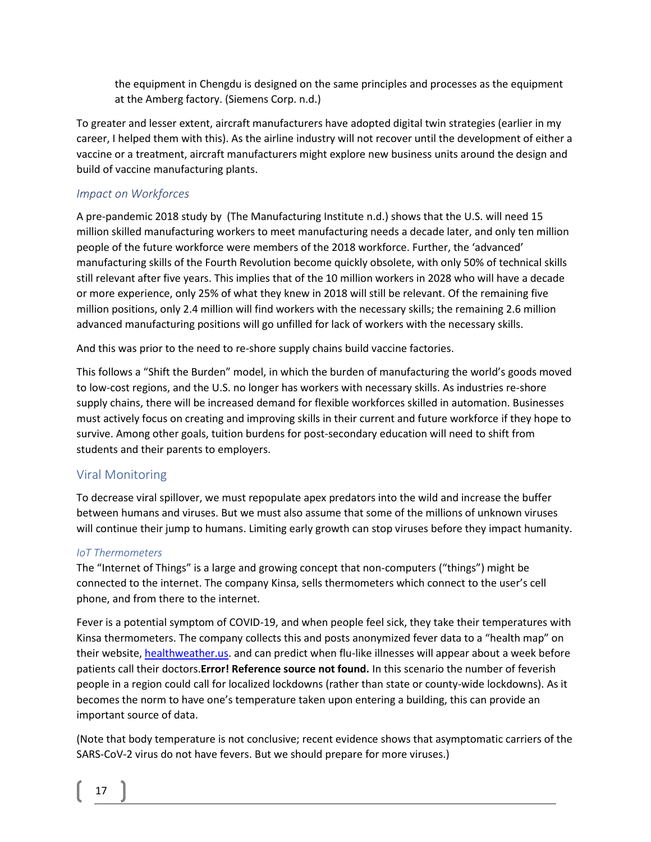the equipment in Chengdu is designed on the same principles and processes as the equipment at the Amberg factory. (Siemens Corp. n.d.)

To greater and lesser extent, aircraft manufacturers have adopted digital twin strategies (earlier in my career, I helped them with this). As the airline industry will not recover until the development of either a vaccine or a treatment, aircraft manufacturers might explore new business units around the design and build of vaccine manufacturing plants.

#### *Impact on Workforces*

A pre-pandemic 2018 study by (The Manufacturing Institute n.d.) shows that the U.S. will need 15 million skilled manufacturing workers to meet manufacturing needs a decade later, and only ten million people of the future workforce were members of the 2018 workforce. Further, the 'advanced' manufacturing skills of the Fourth Revolution become quickly obsolete, with only 50% of technical skills still relevant after five years. This implies that of the 10 million workers in 2028 who will have a decade or more experience, only 25% of what they knew in 2018 will still be relevant. Of the remaining five million positions, only 2.4 million will find workers with the necessary skills; the remaining 2.6 million advanced manufacturing positions will go unfilled for lack of workers with the necessary skills.

And this was prior to the need to re-shore supply chains build vaccine factories.

This follows a "Shift the Burden" model, in which the burden of manufacturing the world's goods moved to low-cost regions, and the U.S. no longer has workers with necessary skills. As industries re-shore supply chains, there will be increased demand for flexible workforces skilled in automation. Businesses must actively focus on creating and improving skills in their current and future workforce if they hope to survive. Among other goals, tuition burdens for post-secondary education will need to shift from students and their parents to employers.

#### Viral Monitoring

To decrease viral spillover, we must repopulate apex predators into the wild and increase the buffer between humans and viruses. But we must also assume that some of the millions of unknown viruses will continue their jump to humans. Limiting early growth can stop viruses before they impact humanity.

#### *IoT Thermometers*

The "Internet of Things" is a large and growing concept that non-computers ("things") might be connected to the internet. The company Kinsa, sells thermometers which connect to the user's cell phone, and from there to the internet.

Fever is a potential symptom of COVID-19, and when people feel sick, they take their temperatures with Kinsa thermometers. The company collects this and posts anonymized fever data to a "health map" on their website, [healthweather.us.](https://healthweather.us/) and can predict when flu-like illnesses will appear about a week before patients call their doctors.**Error! Reference source not found.** In this scenario the number of feverish people in a region could call for localized lockdowns (rather than state or county-wide lockdowns). As it becomes the norm to have one's temperature taken upon entering a building, this can provide an important source of data.

(Note that body temperature is not conclusive; recent evidence shows that asymptomatic carriers of the SARS-CoV-2 virus do not have fevers. But we should prepare for more viruses.)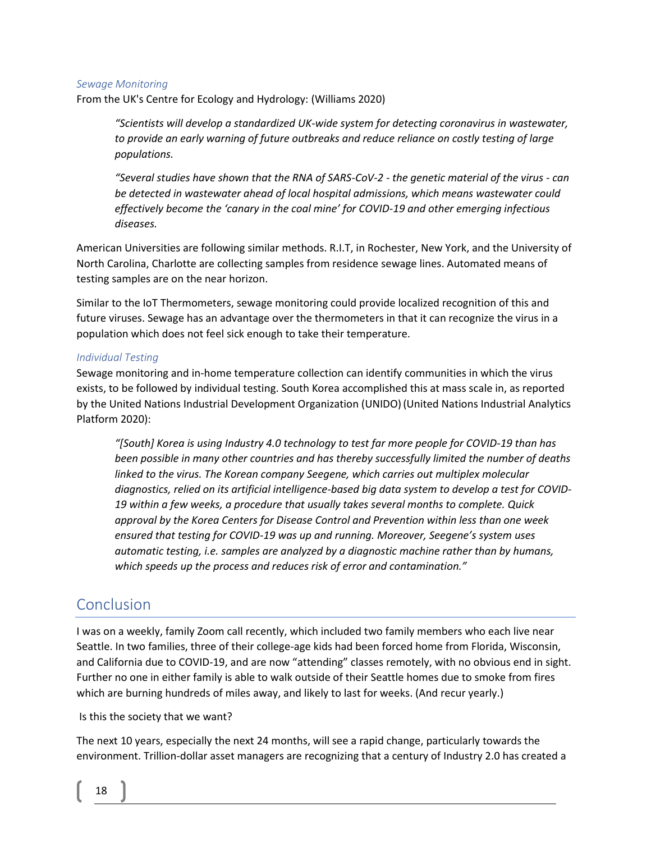#### *Sewage Monitoring*

From the UK's Centre for Ecology and Hydrology: (Williams 2020)

*"Scientists will develop a standardized UK-wide system for detecting coronavirus in wastewater, to provide an early warning of future outbreaks and reduce reliance on costly testing of large populations.*

*"Several studies have shown that the RNA of SARS-CoV-2 - the genetic material of the virus - can be detected in wastewater ahead of local hospital admissions, which means wastewater could effectively become the 'canary in the coal mine' for COVID-19 and other emerging infectious diseases.* 

American Universities are following similar methods. R.I.T, in Rochester, New York, and the University of North Carolina, Charlotte are collecting samples from residence sewage lines. Automated means of testing samples are on the near horizon.

Similar to the IoT Thermometers, sewage monitoring could provide localized recognition of this and future viruses. Sewage has an advantage over the thermometers in that it can recognize the virus in a population which does not feel sick enough to take their temperature.

#### *Individual Testing*

Sewage monitoring and in-home temperature collection can identify communities in which the virus exists, to be followed by individual testing. South Korea accomplished this at mass scale in, as reported by the United Nations Industrial Development Organization (UNIDO)(United Nations Industrial Analytics Platform 2020):

*"[South] Korea is using Industry 4.0 technology to test far more people for COVID-19 than has been possible in many other countries and has thereby successfully limited the number of deaths*  linked to the virus. The Korean company Seegene, which carries out multiplex molecular *diagnostics, relied on its artificial intelligence-based big data system to develop a test for COVID-19 within a few weeks, a procedure that usually takes several months to complete. Quick approval by the Korea Centers for Disease Control and Prevention within less than one week ensured that testing for COVID-19 was up and running. Moreover, Seegene's system uses automatic testing, i.e. samples are analyzed by a diagnostic machine rather than by humans, which speeds up the process and reduces risk of error and contamination."*

### Conclusion

I was on a weekly, family Zoom call recently, which included two family members who each live near Seattle. In two families, three of their college-age kids had been forced home from Florida, Wisconsin, and California due to COVID-19, and are now "attending" classes remotely, with no obvious end in sight. Further no one in either family is able to walk outside of their Seattle homes due to smoke from fires which are burning hundreds of miles away, and likely to last for weeks. (And recur yearly.)

Is this the society that we want?

The next 10 years, especially the next 24 months, will see a rapid change, particularly towards the environment. Trillion-dollar asset managers are recognizing that a century of Industry 2.0 has created a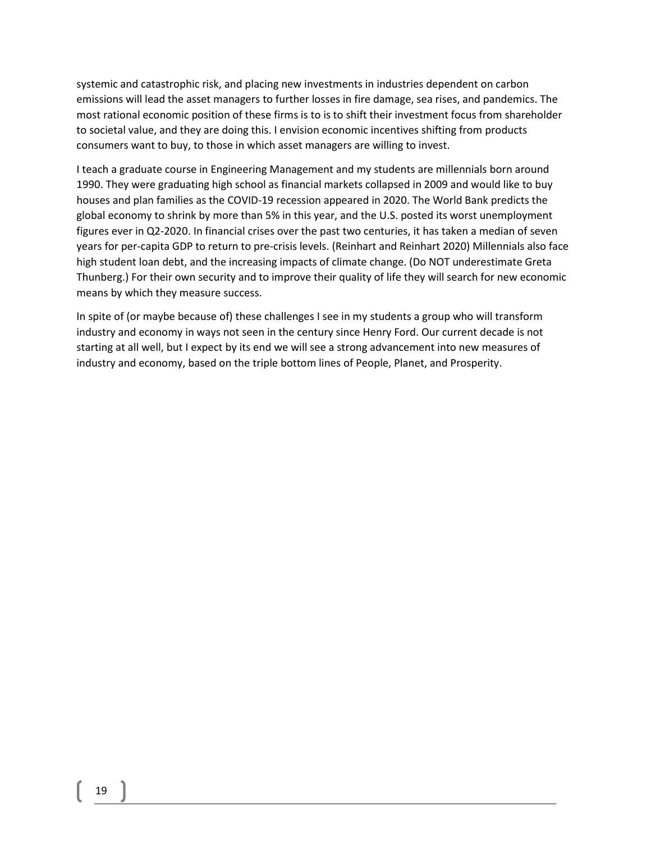systemic and catastrophic risk, and placing new investments in industries dependent on carbon emissions will lead the asset managers to further losses in fire damage, sea rises, and pandemics. The most rational economic position of these firms is to is to shift their investment focus from shareholder to societal value, and they are doing this. I envision economic incentives shifting from products consumers want to buy, to those in which asset managers are willing to invest.

I teach a graduate course in Engineering Management and my students are millennials born around 1990. They were graduating high school as financial markets collapsed in 2009 and would like to buy houses and plan families as the COVID-19 recession appeared in 2020. The World Bank predicts the global economy to shrink by more than 5% in this year, and the U.S. posted its worst unemployment figures ever in Q2-2020. In financial crises over the past two centuries, it has taken a median of seven years for per-capita GDP to return to pre-crisis levels. (Reinhart and Reinhart 2020) Millennials also face high student loan debt, and the increasing impacts of climate change. (Do NOT underestimate Greta Thunberg.) For their own security and to improve their quality of life they will search for new economic means by which they measure success.

In spite of (or maybe because of) these challenges I see in my students a group who will transform industry and economy in ways not seen in the century since Henry Ford. Our current decade is not starting at all well, but I expect by its end we will see a strong advancement into new measures of industry and economy, based on the triple bottom lines of People, Planet, and Prosperity.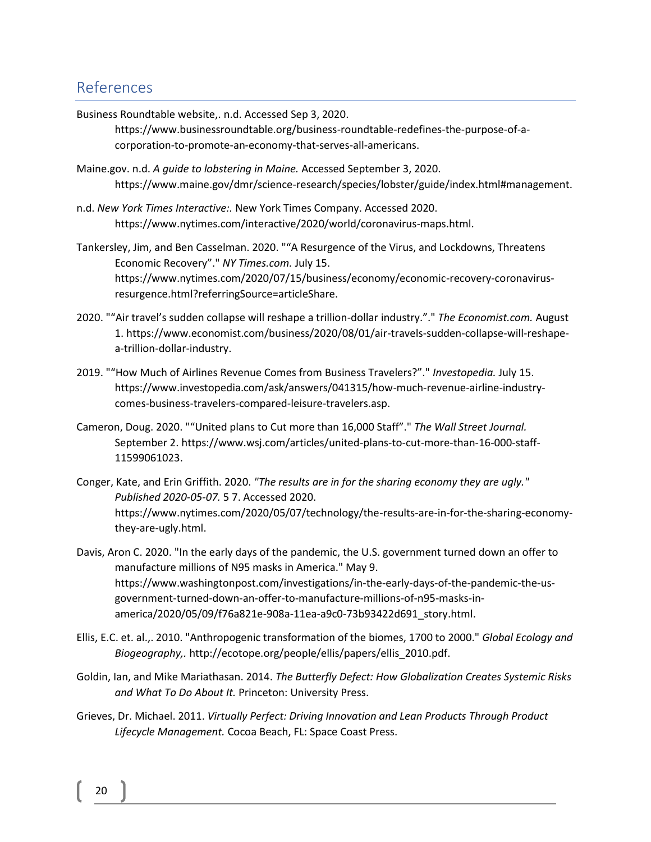### References

Business Roundtable website,. n.d. Accessed Sep 3, 2020.

https://www.businessroundtable.org/business-roundtable-redefines-the-purpose-of-acorporation-to-promote-an-economy-that-serves-all-americans.

Maine.gov. n.d. *A guide to lobstering in Maine.* Accessed September 3, 2020. https://www.maine.gov/dmr/science-research/species/lobster/guide/index.html#management.

n.d. *New York Times Interactive:.* New York Times Company. Accessed 2020. https://www.nytimes.com/interactive/2020/world/coronavirus-maps.html.

Tankersley, Jim, and Ben Casselman. 2020. ""A Resurgence of the Virus, and Lockdowns, Threatens Economic Recovery"." *NY Times.com.* July 15. https://www.nytimes.com/2020/07/15/business/economy/economic-recovery-coronavirusresurgence.html?referringSource=articleShare.

- 2020. ""Air travel's sudden collapse will reshape a trillion-dollar industry."." *The Economist.com.* August 1. https://www.economist.com/business/2020/08/01/air-travels-sudden-collapse-will-reshapea-trillion-dollar-industry.
- 2019. ""How Much of Airlines Revenue Comes from Business Travelers?"." *Investopedia.* July 15. https://www.investopedia.com/ask/answers/041315/how-much-revenue-airline-industrycomes-business-travelers-compared-leisure-travelers.asp.
- Cameron, Doug. 2020. ""United plans to Cut more than 16,000 Staff"." *The Wall Street Journal.* September 2. https://www.wsj.com/articles/united-plans-to-cut-more-than-16-000-staff-11599061023.
- Conger, Kate, and Erin Griffith. 2020. *"The results are in for the sharing economy they are ugly." Published 2020-05-07.* 5 7. Accessed 2020. https://www.nytimes.com/2020/05/07/technology/the-results-are-in-for-the-sharing-economythey-are-ugly.html.

Davis, Aron C. 2020. "In the early days of the pandemic, the U.S. government turned down an offer to manufacture millions of N95 masks in America." May 9. https://www.washingtonpost.com/investigations/in-the-early-days-of-the-pandemic-the-usgovernment-turned-down-an-offer-to-manufacture-millions-of-n95-masks-inamerica/2020/05/09/f76a821e-908a-11ea-a9c0-73b93422d691\_story.html.

- Ellis, E.C. et. al.,. 2010. "Anthropogenic transformation of the biomes, 1700 to 2000." *Global Ecology and Biogeography,.* http://ecotope.org/people/ellis/papers/ellis\_2010.pdf.
- Goldin, Ian, and Mike Mariathasan. 2014. *The Butterfly Defect: How Globalization Creates Systemic Risks and What To Do About It.* Princeton: University Press.
- Grieves, Dr. Michael. 2011. *Virtually Perfect: Driving Innovation and Lean Products Through Product Lifecycle Management.* Cocoa Beach, FL: Space Coast Press.

20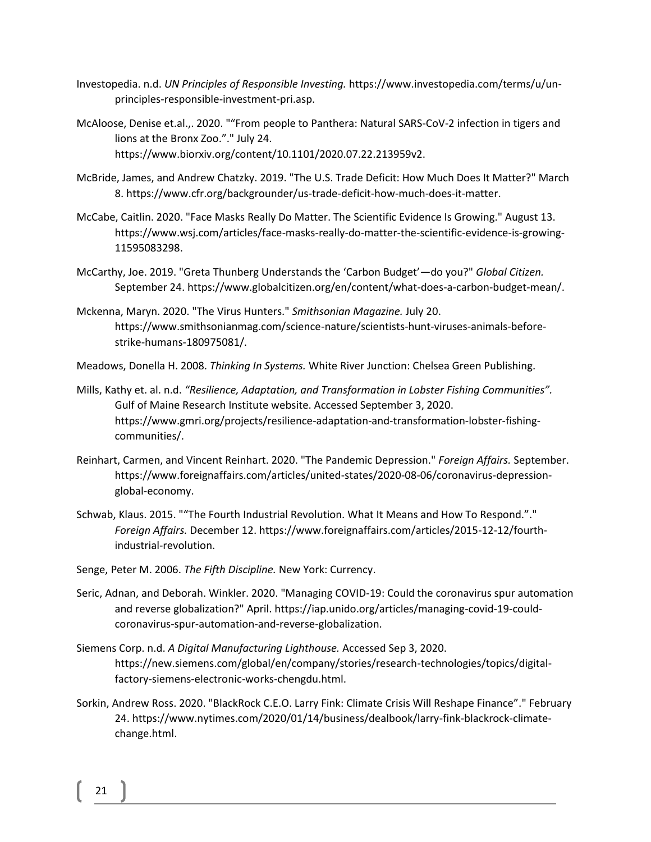- Investopedia. n.d. *UN Principles of Responsible Investing.* https://www.investopedia.com/terms/u/unprinciples-responsible-investment-pri.asp.
- McAloose, Denise et.al.,. 2020. ""From people to Panthera: Natural SARS-CoV-2 infection in tigers and lions at the Bronx Zoo."." July 24. https://www.biorxiv.org/content/10.1101/2020.07.22.213959v2.
- McBride, James, and Andrew Chatzky. 2019. "The U.S. Trade Deficit: How Much Does It Matter?" March 8. https://www.cfr.org/backgrounder/us-trade-deficit-how-much-does-it-matter.
- McCabe, Caitlin. 2020. "Face Masks Really Do Matter. The Scientific Evidence Is Growing." August 13. https://www.wsj.com/articles/face-masks-really-do-matter-the-scientific-evidence-is-growing-11595083298.
- McCarthy, Joe. 2019. "Greta Thunberg Understands the 'Carbon Budget'—do you?" *Global Citizen.* September 24. https://www.globalcitizen.org/en/content/what-does-a-carbon-budget-mean/.
- Mckenna, Maryn. 2020. "The Virus Hunters." *Smithsonian Magazine.* July 20. https://www.smithsonianmag.com/science-nature/scientists-hunt-viruses-animals-beforestrike-humans-180975081/.
- Meadows, Donella H. 2008. *Thinking In Systems.* White River Junction: Chelsea Green Publishing.
- Mills, Kathy et. al. n.d. *"Resilience, Adaptation, and Transformation in Lobster Fishing Communities".* Gulf of Maine Research Institute website. Accessed September 3, 2020. https://www.gmri.org/projects/resilience-adaptation-and-transformation-lobster-fishingcommunities/.
- Reinhart, Carmen, and Vincent Reinhart. 2020. "The Pandemic Depression." *Foreign Affairs.* September. https://www.foreignaffairs.com/articles/united-states/2020-08-06/coronavirus-depressionglobal-economy.
- Schwab, Klaus. 2015. ""The Fourth Industrial Revolution. What It Means and How To Respond."." *Foreign Affairs.* December 12. https://www.foreignaffairs.com/articles/2015-12-12/fourthindustrial-revolution.
- Senge, Peter M. 2006. *The Fifth Discipline.* New York: Currency.
- Seric, Adnan, and Deborah. Winkler. 2020. "Managing COVID-19: Could the coronavirus spur automation and reverse globalization?" April. https://iap.unido.org/articles/managing-covid-19-couldcoronavirus-spur-automation-and-reverse-globalization.
- Siemens Corp. n.d. *A Digital Manufacturing Lighthouse.* Accessed Sep 3, 2020. https://new.siemens.com/global/en/company/stories/research-technologies/topics/digitalfactory-siemens-electronic-works-chengdu.html.
- Sorkin, Andrew Ross. 2020. "BlackRock C.E.O. Larry Fink: Climate Crisis Will Reshape Finance"." February 24. https://www.nytimes.com/2020/01/14/business/dealbook/larry-fink-blackrock-climatechange.html.